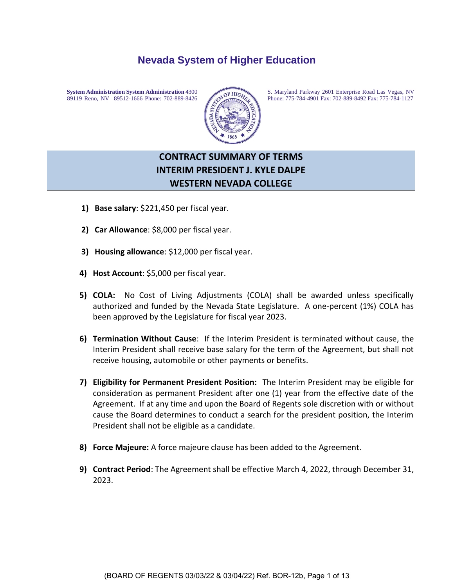# **Nevada System of Higher Education**



**System Administration System Administration** 4300<br>89119 Reno, NV 89512-1666 Phone: 702-889-8426 Phone: 703-889-8426 Phone: 775-784-4901 Fax: 702-889-8492 Fax: 775-784-1127 89119 Reno, NV 89512-1666 Phone: 702-889-8426 <br>Phone: 775-784-4901 Fax: 702-889-8492 Fax: 775-784-1127

# **CONTRACT SUMMARY OF TERMS INTERIM PRESIDENT J. KYLE DALPE WESTERN NEVADA COLLEGE**

- **1) Base salary**: \$221,450 per fiscal year.
- **2) Car Allowance**: \$8,000 per fiscal year.
- **3) Housing allowance**: \$12,000 per fiscal year.
- **4) Host Account**: \$5,000 per fiscal year.
- **5) COLA:** No Cost of Living Adjustments (COLA) shall be awarded unless specifically authorized and funded by the Nevada State Legislature. A one-percent (1%) COLA has been approved by the Legislature for fiscal year 2023.
- **6) Termination Without Cause**: If the Interim President is terminated without cause, the Interim President shall receive base salary for the term of the Agreement, but shall not receive housing, automobile or other payments or benefits.
- **7) Eligibility for Permanent President Position:** The Interim President may be eligible for consideration as permanent President after one (1) year from the effective date of the Agreement. If at any time and upon the Board of Regents sole discretion with or without cause the Board determines to conduct a search for the president position, the Interim President shall not be eligible as a candidate.
- **8) Force Majeure:** A force majeure clause has been added to the Agreement.
- **9) Contract Period**: The Agreement shall be effective March 4, 2022, through December 31, 2023.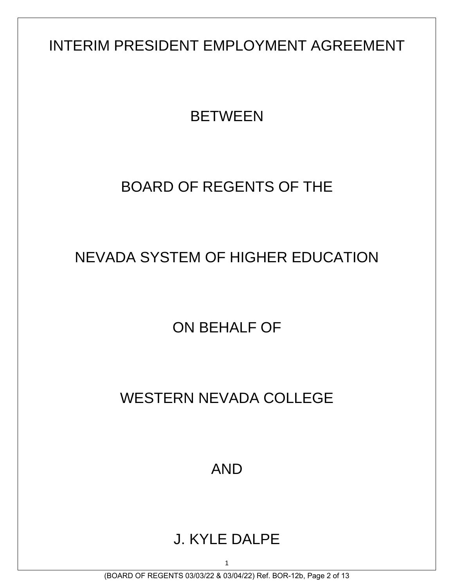INTERIM PRESIDENT EMPLOYMENT AGREEMENT

# **BETWEEN**

# BOARD OF REGENTS OF THE

# NEVADA SYSTEM OF HIGHER EDUCATION

ON BEHALF OF

# WESTERN NEVADA COLLEGE

AND

# J. KYLE DALPE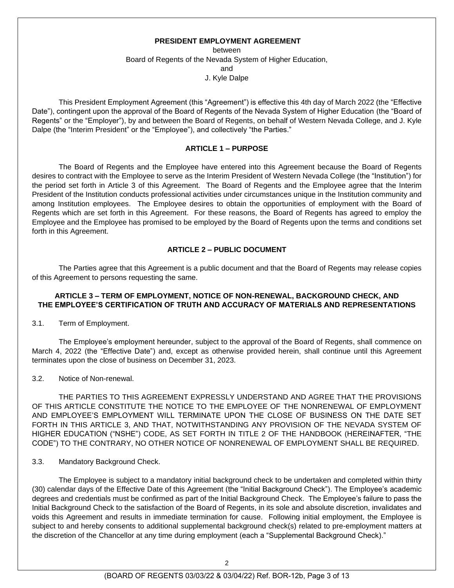#### **PRESIDENT EMPLOYMENT AGREEMENT**

between Board of Regents of the Nevada System of Higher Education, and J. Kyle Dalpe

This President Employment Agreement (this "Agreement") is effective this 4th day of March 2022 (the "Effective Date"), contingent upon the approval of the Board of Regents of the Nevada System of Higher Education (the "Board of Regents" or the "Employer"), by and between the Board of Regents, on behalf of Western Nevada College, and J. Kyle Dalpe (the "Interim President" or the "Employee"), and collectively "the Parties."

#### **ARTICLE 1 – PURPOSE**

The Board of Regents and the Employee have entered into this Agreement because the Board of Regents desires to contract with the Employee to serve as the Interim President of Western Nevada College (the "Institution") for the period set forth in Article 3 of this Agreement. The Board of Regents and the Employee agree that the Interim President of the Institution conducts professional activities under circumstances unique in the Institution community and among Institution employees. The Employee desires to obtain the opportunities of employment with the Board of Regents which are set forth in this Agreement. For these reasons, the Board of Regents has agreed to employ the Employee and the Employee has promised to be employed by the Board of Regents upon the terms and conditions set forth in this Agreement.

# **ARTICLE 2 – PUBLIC DOCUMENT**

The Parties agree that this Agreement is a public document and that the Board of Regents may release copies of this Agreement to persons requesting the same.

#### **ARTICLE 3 – TERM OF EMPLOYMENT, NOTICE OF NON-RENEWAL, BACKGROUND CHECK, AND THE EMPLOYEE'S CERTIFICATION OF TRUTH AND ACCURACY OF MATERIALS AND REPRESENTATIONS**

3.1. Term of Employment.

The Employee's employment hereunder, subject to the approval of the Board of Regents, shall commence on March 4, 2022 (the "Effective Date") and, except as otherwise provided herein, shall continue until this Agreement terminates upon the close of business on December 31, 2023.

#### 3.2. Notice of Non-renewal.

THE PARTIES TO THIS AGREEMENT EXPRESSLY UNDERSTAND AND AGREE THAT THE PROVISIONS OF THIS ARTICLE CONSTITUTE THE NOTICE TO THE EMPLOYEE OF THE NONRENEWAL OF EMPLOYMENT AND EMPLOYEE'S EMPLOYMENT WILL TERMINATE UPON THE CLOSE OF BUSINESS ON THE DATE SET FORTH IN THIS ARTICLE 3, AND THAT, NOTWITHSTANDING ANY PROVISION OF THE NEVADA SYSTEM OF HIGHER EDUCATION ("NSHE") CODE, AS SET FORTH IN TITLE 2 OF THE HANDBOOK (HEREINAFTER, "THE CODE") TO THE CONTRARY, NO OTHER NOTICE OF NONRENEWAL OF EMPLOYMENT SHALL BE REQUIRED.

3.3. Mandatory Background Check.

The Employee is subject to a mandatory initial background check to be undertaken and completed within thirty (30) calendar days of the Effective Date of this Agreement (the "Initial Background Check"). The Employee's academic degrees and credentials must be confirmed as part of the Initial Background Check. The Employee's failure to pass the Initial Background Check to the satisfaction of the Board of Regents, in its sole and absolute discretion, invalidates and voids this Agreement and results in immediate termination for cause. Following initial employment, the Employee is subject to and hereby consents to additional supplemental background check(s) related to pre-employment matters at the discretion of the Chancellor at any time during employment (each a "Supplemental Background Check)."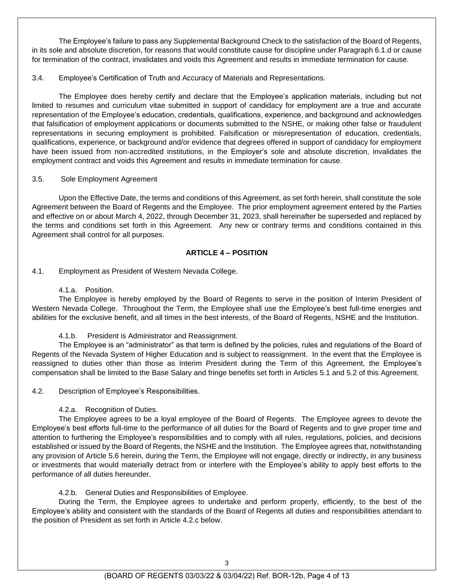The Employee's failure to pass any Supplemental Background Check to the satisfaction of the Board of Regents, in its sole and absolute discretion, for reasons that would constitute cause for discipline under Paragraph 6.1.d or cause for termination of the contract, invalidates and voids this Agreement and results in immediate termination for cause.

3.4. Employee's Certification of Truth and Accuracy of Materials and Representations.

The Employee does hereby certify and declare that the Employee's application materials, including but not limited to resumes and curriculum vitae submitted in support of candidacy for employment are a true and accurate representation of the Employee's education, credentials, qualifications, experience, and background and acknowledges that falsification of employment applications or documents submitted to the NSHE, or making other false or fraudulent representations in securing employment is prohibited. Falsification or misrepresentation of education, credentials, qualifications, experience, or background and/or evidence that degrees offered in support of candidacy for employment have been issued from non-accredited institutions, in the Employer's sole and absolute discretion, invalidates the employment contract and voids this Agreement and results in immediate termination for cause.

### 3.5. Sole Employment Agreement

Upon the Effective Date, the terms and conditions of this Agreement, as set forth herein, shall constitute the sole Agreement between the Board of Regents and the Employee. The prior employment agreement entered by the Parties and effective on or about March 4, 2022, through December 31, 2023, shall hereinafter be superseded and replaced by the terms and conditions set forth in this Agreement. Any new or contrary terms and conditions contained in this Agreement shall control for all purposes.

## **ARTICLE 4 – POSITION**

4.1. Employment as President of Western Nevada College.

4.1.a. Position.

The Employee is hereby employed by the Board of Regents to serve in the position of Interim President of Western Nevada College. Throughout the Term, the Employee shall use the Employee's best full-time energies and abilities for the exclusive benefit, and all times in the best interests, of the Board of Regents, NSHE and the Institution.

4.1.b. President is Administrator and Reassignment.

The Employee is an "administrator" as that term is defined by the policies, rules and regulations of the Board of Regents of the Nevada System of Higher Education and is subject to reassignment. In the event that the Employee is reassigned to duties other than those as Interim President during the Term of this Agreement, the Employee's compensation shall be limited to the Base Salary and fringe benefits set forth in Articles 5.1 and 5.2 of this Agreement.

4.2. Description of Employee's Responsibilities.

4.2.a. Recognition of Duties.

The Employee agrees to be a loyal employee of the Board of Regents. The Employee agrees to devote the Employee's best efforts full-time to the performance of all duties for the Board of Regents and to give proper time and attention to furthering the Employee's responsibilities and to comply with all rules, regulations, policies, and decisions established or issued by the Board of Regents, the NSHE and the Institution. The Employee agrees that, notwithstanding any provision of Article 5.6 herein, during the Term, the Employee will not engage, directly or indirectly, in any business or investments that would materially detract from or interfere with the Employee's ability to apply best efforts to the performance of all duties hereunder.

4.2.b. General Duties and Responsibilities of Employee.

During the Term, the Employee agrees to undertake and perform properly, efficiently, to the best of the Employee's ability and consistent with the standards of the Board of Regents all duties and responsibilities attendant to the position of President as set forth in Article 4.2.c below.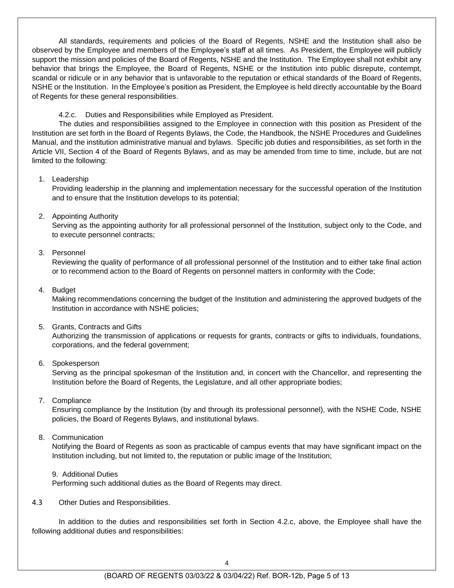All standards, requirements and policies of the Board of Regents, NSHE and the Institution shall also be observed by the Employee and members of the Employee's staff at all times. As President, the Employee will publicly support the mission and policies of the Board of Regents, NSHE and the Institution. The Employee shall not exhibit any behavior that brings the Employee, the Board of Regents, NSHE or the Institution into public disrepute, contempt, scandal or ridicule or in any behavior that is unfavorable to the reputation or ethical standards of the Board of Regents, NSHE or the Institution. In the Employee's position as President, the Employee is held directly accountable by the Board of Regents for these general responsibilities.

4.2.c. Duties and Responsibilities while Employed as President.

The duties and responsibilities assigned to the Employee in connection with this position as President of the Institution are set forth in the Board of Regents Bylaws, the Code, the Handbook, the NSHE Procedures and Guidelines Manual, and the institution administrative manual and bylaws. Specific job duties and responsibilities, as set forth in the Article VII, Section 4 of the Board of Regents Bylaws, and as may be amended from time to time, include, but are not limited to the following:

### 1. Leadership

Providing leadership in the planning and implementation necessary for the successful operation of the Institution and to ensure that the Institution develops to its potential;

## 2. Appointing Authority

Serving as the appointing authority for all professional personnel of the Institution, subject only to the Code, and to execute personnel contracts;

## 3. Personnel

Reviewing the quality of performance of all professional personnel of the Institution and to either take final action or to recommend action to the Board of Regents on personnel matters in conformity with the Code;

### 4. Budget

Making recommendations concerning the budget of the Institution and administering the approved budgets of the Institution in accordance with NSHE policies;

### 5. Grants, Contracts and Gifts

Authorizing the transmission of applications or requests for grants, contracts or gifts to individuals, foundations, corporations, and the federal government;

### 6. Spokesperson

Serving as the principal spokesman of the Institution and, in concert with the Chancellor, and representing the Institution before the Board of Regents, the Legislature, and all other appropriate bodies;

### 7. Compliance

Ensuring compliance by the Institution (by and through its professional personnel), with the NSHE Code, NSHE policies, the Board of Regents Bylaws, and institutional bylaws.

# 8. Communication

Notifying the Board of Regents as soon as practicable of campus events that may have significant impact on the Institution including, but not limited to, the reputation or public image of the Institution;

9. Additional Duties

Performing such additional duties as the Board of Regents may direct.

4.3 Other Duties and Responsibilities.

In addition to the duties and responsibilities set forth in Section 4.2.c, above, the Employee shall have the following additional duties and responsibilities: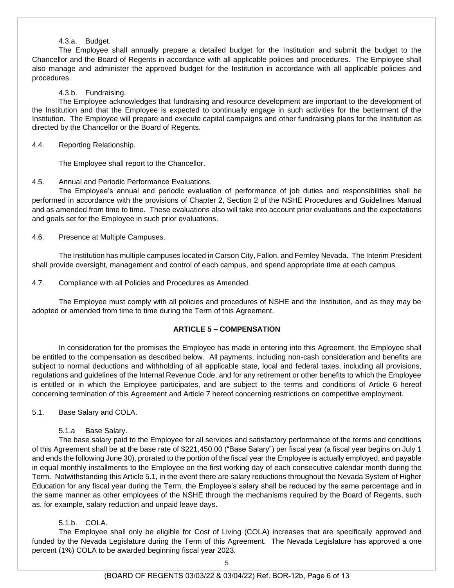### 4.3.a. Budget.

The Employee shall annually prepare a detailed budget for the Institution and submit the budget to the Chancellor and the Board of Regents in accordance with all applicable policies and procedures. The Employee shall also manage and administer the approved budget for the Institution in accordance with all applicable policies and procedures.

4.3.b. Fundraising.

The Employee acknowledges that fundraising and resource development are important to the development of the Institution and that the Employee is expected to continually engage in such activities for the betterment of the Institution. The Employee will prepare and execute capital campaigns and other fundraising plans for the Institution as directed by the Chancellor or the Board of Regents.

### 4.4. Reporting Relationship.

The Employee shall report to the Chancellor.

## 4.5. Annual and Periodic Performance Evaluations.

The Employee's annual and periodic evaluation of performance of job duties and responsibilities shall be performed in accordance with the provisions of Chapter 2, Section 2 of the NSHE Procedures and Guidelines Manual and as amended from time to time. These evaluations also will take into account prior evaluations and the expectations and goals set for the Employee in such prior evaluations.

4.6. Presence at Multiple Campuses.

The Institution has multiple campuses located in Carson City, Fallon, and Fernley Nevada. The Interim President shall provide oversight, management and control of each campus, and spend appropriate time at each campus.

4.7. Compliance with all Policies and Procedures as Amended.

The Employee must comply with all policies and procedures of NSHE and the Institution, and as they may be adopted or amended from time to time during the Term of this Agreement.

# **ARTICLE 5 – COMPENSATION**

In consideration for the promises the Employee has made in entering into this Agreement, the Employee shall be entitled to the compensation as described below. All payments, including non-cash consideration and benefits are subject to normal deductions and withholding of all applicable state, local and federal taxes, including all provisions, regulations and guidelines of the Internal Revenue Code, and for any retirement or other benefits to which the Employee is entitled or in which the Employee participates, and are subject to the terms and conditions of Article 6 hereof concerning termination of this Agreement and Article 7 hereof concerning restrictions on competitive employment.

5.1. Base Salary and COLA.

5.1.a Base Salary.

The base salary paid to the Employee for all services and satisfactory performance of the terms and conditions of this Agreement shall be at the base rate of \$221,450.00 ("Base Salary") per fiscal year (a fiscal year begins on July 1 and ends the following June 30), prorated to the portion of the fiscal year the Employee is actually employed, and payable in equal monthly installments to the Employee on the first working day of each consecutive calendar month during the Term. Notwithstanding this Article 5.1, in the event there are salary reductions throughout the Nevada System of Higher Education for any fiscal year during the Term, the Employee's salary shall be reduced by the same percentage and in the same manner as other employees of the NSHE through the mechanisms required by the Board of Regents, such as, for example, salary reduction and unpaid leave days.

### 5.1.b. COLA.

The Employee shall only be eligible for Cost of Living (COLA) increases that are specifically approved and funded by the Nevada Legislature during the Term of this Agreement. The Nevada Legislature has approved a one percent (1%) COLA to be awarded beginning fiscal year 2023.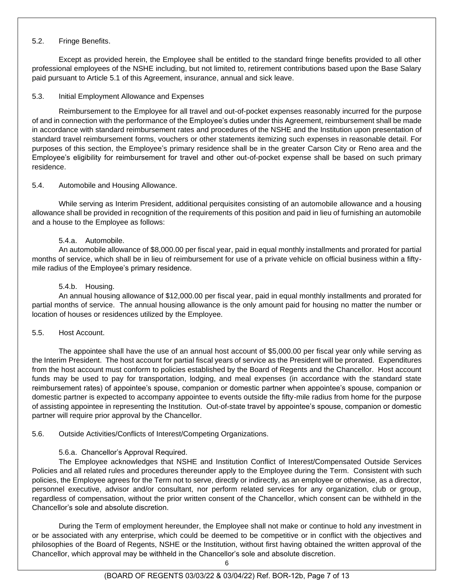### 5.2. Fringe Benefits.

Except as provided herein, the Employee shall be entitled to the standard fringe benefits provided to all other professional employees of the NSHE including, but not limited to, retirement contributions based upon the Base Salary paid pursuant to Article 5.1 of this Agreement, insurance, annual and sick leave.

### 5.3. Initial Employment Allowance and Expenses

Reimbursement to the Employee for all travel and out-of-pocket expenses reasonably incurred for the purpose of and in connection with the performance of the Employee's duties under this Agreement, reimbursement shall be made in accordance with standard reimbursement rates and procedures of the NSHE and the Institution upon presentation of standard travel reimbursement forms, vouchers or other statements itemizing such expenses in reasonable detail. For purposes of this section, the Employee's primary residence shall be in the greater Carson City or Reno area and the Employee's eligibility for reimbursement for travel and other out-of-pocket expense shall be based on such primary residence.

### 5.4. Automobile and Housing Allowance.

While serving as Interim President, additional perquisites consisting of an automobile allowance and a housing allowance shall be provided in recognition of the requirements of this position and paid in lieu of furnishing an automobile and a house to the Employee as follows:

## 5.4.a. Automobile.

An automobile allowance of \$8,000.00 per fiscal year, paid in equal monthly installments and prorated for partial months of service, which shall be in lieu of reimbursement for use of a private vehicle on official business within a fiftymile radius of the Employee's primary residence.

## 5.4.b. Housing.

An annual housing allowance of \$12,000.00 per fiscal year, paid in equal monthly installments and prorated for partial months of service. The annual housing allowance is the only amount paid for housing no matter the number or location of houses or residences utilized by the Employee.

### 5.5. Host Account.

The appointee shall have the use of an annual host account of \$5,000.00 per fiscal year only while serving as the Interim President. The host account for partial fiscal years of service as the President will be prorated. Expenditures from the host account must conform to policies established by the Board of Regents and the Chancellor. Host account funds may be used to pay for transportation, lodging, and meal expenses (in accordance with the standard state reimbursement rates) of appointee's spouse, companion or domestic partner when appointee's spouse, companion or domestic partner is expected to accompany appointee to events outside the fifty-mile radius from home for the purpose of assisting appointee in representing the Institution. Out-of-state travel by appointee's spouse, companion or domestic partner will require prior approval by the Chancellor.

# 5.6. Outside Activities/Conflicts of Interest/Competing Organizations.

# 5.6.a. Chancellor's Approval Required.

The Employee acknowledges that NSHE and Institution Conflict of Interest/Compensated Outside Services Policies and all related rules and procedures thereunder apply to the Employee during the Term. Consistent with such policies, the Employee agrees for the Term not to serve, directly or indirectly, as an employee or otherwise, as a director, personnel executive, advisor and/or consultant, nor perform related services for any organization, club or group, regardless of compensation, without the prior written consent of the Chancellor, which consent can be withheld in the Chancellor's sole and absolute discretion.

During the Term of employment hereunder, the Employee shall not make or continue to hold any investment in or be associated with any enterprise, which could be deemed to be competitive or in conflict with the objectives and philosophies of the Board of Regents, NSHE or the Institution, without first having obtained the written approval of the Chancellor, which approval may be withheld in the Chancellor's sole and absolute discretion.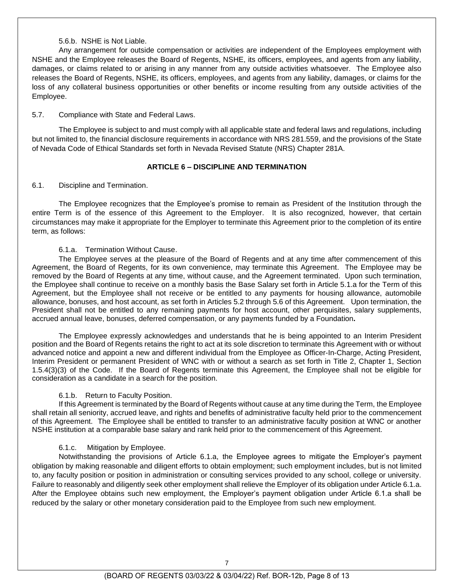#### 5.6.b. NSHE is Not Liable.

Any arrangement for outside compensation or activities are independent of the Employees employment with NSHE and the Employee releases the Board of Regents, NSHE, its officers, employees, and agents from any liability, damages, or claims related to or arising in any manner from any outside activities whatsoever. The Employee also releases the Board of Regents, NSHE, its officers, employees, and agents from any liability, damages, or claims for the loss of any collateral business opportunities or other benefits or income resulting from any outside activities of the Employee.

#### 5.7. Compliance with State and Federal Laws.

The Employee is subject to and must comply with all applicable state and federal laws and regulations, including but not limited to, the financial disclosure requirements in accordance with NRS 281.559, and the provisions of the State of Nevada Code of Ethical Standards set forth in Nevada Revised Statute (NRS) Chapter 281A.

### **ARTICLE 6 – DISCIPLINE AND TERMINATION**

#### 6.1. Discipline and Termination.

The Employee recognizes that the Employee's promise to remain as President of the Institution through the entire Term is of the essence of this Agreement to the Employer. It is also recognized, however, that certain circumstances may make it appropriate for the Employer to terminate this Agreement prior to the completion of its entire term, as follows:

#### 6.1.a. Termination Without Cause.

The Employee serves at the pleasure of the Board of Regents and at any time after commencement of this Agreement, the Board of Regents, for its own convenience, may terminate this Agreement. The Employee may be removed by the Board of Regents at any time, without cause, and the Agreement terminated. Upon such termination, the Employee shall continue to receive on a monthly basis the Base Salary set forth in Article 5.1.a for the Term of this Agreement, but the Employee shall not receive or be entitled to any payments for housing allowance, automobile allowance, bonuses, and host account, as set forth in Articles 5.2 through 5.6 of this Agreement. Upon termination, the President shall not be entitled to any remaining payments for host account, other perquisites, salary supplements, accrued annual leave, bonuses, deferred compensation, or any payments funded by a Foundation**.** 

The Employee expressly acknowledges and understands that he is being appointed to an Interim President position and the Board of Regents retains the right to act at its sole discretion to terminate this Agreement with or without advanced notice and appoint a new and different individual from the Employee as Officer-In-Charge, Acting President, Interim President or permanent President of WNC with or without a search as set forth in Title 2, Chapter 1, Section 1.5.4(3)(3) of the Code. If the Board of Regents terminate this Agreement, the Employee shall not be eligible for consideration as a candidate in a search for the position.

#### 6.1.b. Return to Faculty Position.

If this Agreement is terminated by the Board of Regents without cause at any time during the Term, the Employee shall retain all seniority, accrued leave, and rights and benefits of administrative faculty held prior to the commencement of this Agreement. The Employee shall be entitled to transfer to an administrative faculty position at WNC or another NSHE institution at a comparable base salary and rank held prior to the commencement of this Agreement.

### 6.1.c. Mitigation by Employee.

Notwithstanding the provisions of Article 6.1.a, the Employee agrees to mitigate the Employer's payment obligation by making reasonable and diligent efforts to obtain employment; such employment includes, but is not limited to, any faculty position or position in administration or consulting services provided to any school, college or university. Failure to reasonably and diligently seek other employment shall relieve the Employer of its obligation under Article 6.1.a. After the Employee obtains such new employment, the Employer's payment obligation under Article 6.1.a shall be reduced by the salary or other monetary consideration paid to the Employee from such new employment.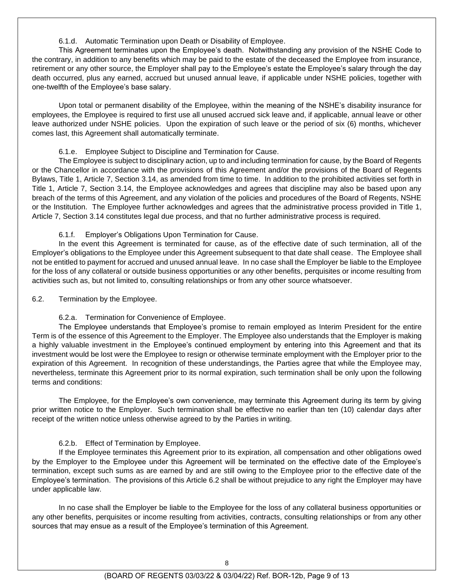6.1.d. Automatic Termination upon Death or Disability of Employee.

This Agreement terminates upon the Employee's death. Notwithstanding any provision of the NSHE Code to the contrary, in addition to any benefits which may be paid to the estate of the deceased the Employee from insurance, retirement or any other source, the Employer shall pay to the Employee's estate the Employee's salary through the day death occurred, plus any earned, accrued but unused annual leave, if applicable under NSHE policies, together with one-twelfth of the Employee's base salary.

Upon total or permanent disability of the Employee, within the meaning of the NSHE's disability insurance for employees, the Employee is required to first use all unused accrued sick leave and, if applicable, annual leave or other leave authorized under NSHE policies. Upon the expiration of such leave or the period of six (6) months, whichever comes last, this Agreement shall automatically terminate.

#### 6.1.e. Employee Subject to Discipline and Termination for Cause.

The Employee is subject to disciplinary action, up to and including termination for cause, by the Board of Regents or the Chancellor in accordance with the provisions of this Agreement and/or the provisions of the Board of Regents Bylaws, Title 1, Article 7, Section 3.14, as amended from time to time. In addition to the prohibited activities set forth in Title 1, Article 7, Section 3.14, the Employee acknowledges and agrees that discipline may also be based upon any breach of the terms of this Agreement, and any violation of the policies and procedures of the Board of Regents, NSHE or the Institution. The Employee further acknowledges and agrees that the administrative process provided in Title 1, Article 7, Section 3.14 constitutes legal due process, and that no further administrative process is required.

6.1.f. Employer's Obligations Upon Termination for Cause.

In the event this Agreement is terminated for cause, as of the effective date of such termination, all of the Employer's obligations to the Employee under this Agreement subsequent to that date shall cease. The Employee shall not be entitled to payment for accrued and unused annual leave. In no case shall the Employer be liable to the Employee for the loss of any collateral or outside business opportunities or any other benefits, perquisites or income resulting from activities such as, but not limited to, consulting relationships or from any other source whatsoever.

#### 6.2. Termination by the Employee.

### 6.2.a. Termination for Convenience of Employee.

The Employee understands that Employee's promise to remain employed as Interim President for the entire Term is of the essence of this Agreement to the Employer. The Employee also understands that the Employer is making a highly valuable investment in the Employee's continued employment by entering into this Agreement and that its investment would be lost were the Employee to resign or otherwise terminate employment with the Employer prior to the expiration of this Agreement. In recognition of these understandings, the Parties agree that while the Employee may, nevertheless, terminate this Agreement prior to its normal expiration, such termination shall be only upon the following terms and conditions:

The Employee, for the Employee's own convenience, may terminate this Agreement during its term by giving prior written notice to the Employer. Such termination shall be effective no earlier than ten (10) calendar days after receipt of the written notice unless otherwise agreed to by the Parties in writing.

### 6.2.b. Effect of Termination by Employee.

If the Employee terminates this Agreement prior to its expiration, all compensation and other obligations owed by the Employer to the Employee under this Agreement will be terminated on the effective date of the Employee's termination, except such sums as are earned by and are still owing to the Employee prior to the effective date of the Employee's termination. The provisions of this Article 6.2 shall be without prejudice to any right the Employer may have under applicable law.

In no case shall the Employer be liable to the Employee for the loss of any collateral business opportunities or any other benefits, perquisites or income resulting from activities, contracts, consulting relationships or from any other sources that may ensue as a result of the Employee's termination of this Agreement.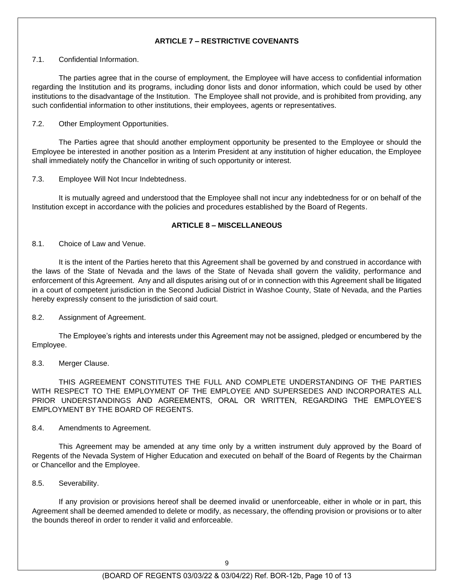# **ARTICLE 7 – RESTRICTIVE COVENANTS**

#### 7.1. Confidential Information.

The parties agree that in the course of employment, the Employee will have access to confidential information regarding the Institution and its programs, including donor lists and donor information, which could be used by other institutions to the disadvantage of the Institution. The Employee shall not provide, and is prohibited from providing, any such confidential information to other institutions, their employees, agents or representatives.

#### 7.2. Other Employment Opportunities.

The Parties agree that should another employment opportunity be presented to the Employee or should the Employee be interested in another position as a Interim President at any institution of higher education, the Employee shall immediately notify the Chancellor in writing of such opportunity or interest.

#### 7.3. Employee Will Not Incur Indebtedness.

It is mutually agreed and understood that the Employee shall not incur any indebtedness for or on behalf of the Institution except in accordance with the policies and procedures established by the Board of Regents.

#### **ARTICLE 8 – MISCELLANEOUS**

#### 8.1. Choice of Law and Venue.

It is the intent of the Parties hereto that this Agreement shall be governed by and construed in accordance with the laws of the State of Nevada and the laws of the State of Nevada shall govern the validity, performance and enforcement of this Agreement. Any and all disputes arising out of or in connection with this Agreement shall be litigated in a court of competent jurisdiction in the Second Judicial District in Washoe County, State of Nevada, and the Parties hereby expressly consent to the jurisdiction of said court.

### 8.2. Assignment of Agreement.

The Employee's rights and interests under this Agreement may not be assigned, pledged or encumbered by the Employee.

#### 8.3. Merger Clause.

THIS AGREEMENT CONSTITUTES THE FULL AND COMPLETE UNDERSTANDING OF THE PARTIES WITH RESPECT TO THE EMPLOYMENT OF THE EMPLOYEE AND SUPERSEDES AND INCORPORATES ALL PRIOR UNDERSTANDINGS AND AGREEMENTS, ORAL OR WRITTEN, REGARDING THE EMPLOYEE'S EMPLOYMENT BY THE BOARD OF REGENTS.

#### 8.4. Amendments to Agreement.

This Agreement may be amended at any time only by a written instrument duly approved by the Board of Regents of the Nevada System of Higher Education and executed on behalf of the Board of Regents by the Chairman or Chancellor and the Employee.

#### 8.5. Severability.

If any provision or provisions hereof shall be deemed invalid or unenforceable, either in whole or in part, this Agreement shall be deemed amended to delete or modify, as necessary, the offending provision or provisions or to alter the bounds thereof in order to render it valid and enforceable.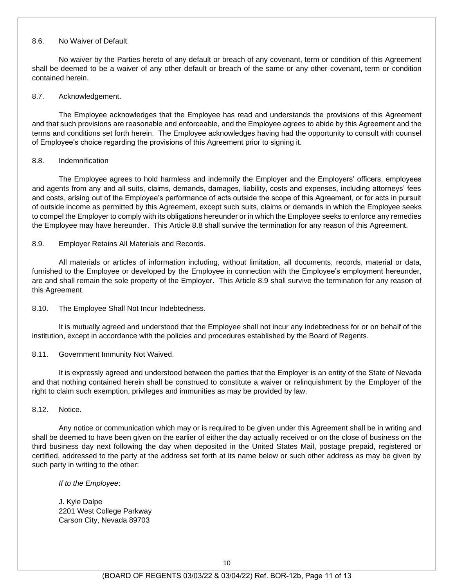#### 8.6. No Waiver of Default.

No waiver by the Parties hereto of any default or breach of any covenant, term or condition of this Agreement shall be deemed to be a waiver of any other default or breach of the same or any other covenant, term or condition contained herein.

#### 8.7. Acknowledgement.

The Employee acknowledges that the Employee has read and understands the provisions of this Agreement and that such provisions are reasonable and enforceable, and the Employee agrees to abide by this Agreement and the terms and conditions set forth herein. The Employee acknowledges having had the opportunity to consult with counsel of Employee's choice regarding the provisions of this Agreement prior to signing it.

#### 8.8. Indemnification

The Employee agrees to hold harmless and indemnify the Employer and the Employers' officers, employees and agents from any and all suits, claims, demands, damages, liability, costs and expenses, including attorneys' fees and costs, arising out of the Employee's performance of acts outside the scope of this Agreement, or for acts in pursuit of outside income as permitted by this Agreement, except such suits, claims or demands in which the Employee seeks to compel the Employer to comply with its obligations hereunder or in which the Employee seeks to enforce any remedies the Employee may have hereunder. This Article 8.8 shall survive the termination for any reason of this Agreement.

#### 8.9. Employer Retains All Materials and Records.

All materials or articles of information including, without limitation, all documents, records, material or data, furnished to the Employee or developed by the Employee in connection with the Employee's employment hereunder, are and shall remain the sole property of the Employer. This Article 8.9 shall survive the termination for any reason of this Agreement.

### 8.10. The Employee Shall Not Incur Indebtedness.

It is mutually agreed and understood that the Employee shall not incur any indebtedness for or on behalf of the institution, except in accordance with the policies and procedures established by the Board of Regents.

### 8.11. Government Immunity Not Waived.

It is expressly agreed and understood between the parties that the Employer is an entity of the State of Nevada and that nothing contained herein shall be construed to constitute a waiver or relinquishment by the Employer of the right to claim such exemption, privileges and immunities as may be provided by law.

#### 8.12. Notice.

Any notice or communication which may or is required to be given under this Agreement shall be in writing and shall be deemed to have been given on the earlier of either the day actually received or on the close of business on the third business day next following the day when deposited in the United States Mail, postage prepaid, registered or certified, addressed to the party at the address set forth at its name below or such other address as may be given by such party in writing to the other:

#### *If to the Employee*:

J. Kyle Dalpe 2201 West College Parkway Carson City, Nevada 89703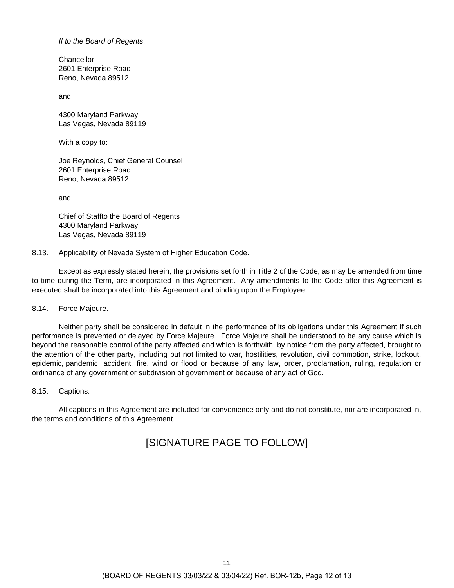*If to the Board of Regents*:

**Chancellor** 2601 Enterprise Road Reno, Nevada 89512

and

4300 Maryland Parkway Las Vegas, Nevada 89119

With a copy to:

Joe Reynolds, Chief General Counsel 2601 Enterprise Road Reno, Nevada 89512

and

Chief of Staffto the Board of Regents 4300 Maryland Parkway Las Vegas, Nevada 89119

8.13. Applicability of Nevada System of Higher Education Code.

Except as expressly stated herein, the provisions set forth in Title 2 of the Code, as may be amended from time to time during the Term, are incorporated in this Agreement. Any amendments to the Code after this Agreement is executed shall be incorporated into this Agreement and binding upon the Employee.

8.14. Force Majeure.

Neither party shall be considered in default in the performance of its obligations under this Agreement if such performance is prevented or delayed by Force Majeure. Force Majeure shall be understood to be any cause which is beyond the reasonable control of the party affected and which is forthwith, by notice from the party affected, brought to the attention of the other party, including but not limited to war, hostilities, revolution, civil commotion, strike, lockout, epidemic, pandemic, accident, fire, wind or flood or because of any law, order, proclamation, ruling, regulation or ordinance of any government or subdivision of government or because of any act of God.

8.15. Captions.

All captions in this Agreement are included for convenience only and do not constitute, nor are incorporated in, the terms and conditions of this Agreement.

# [SIGNATURE PAGE TO FOLLOW]